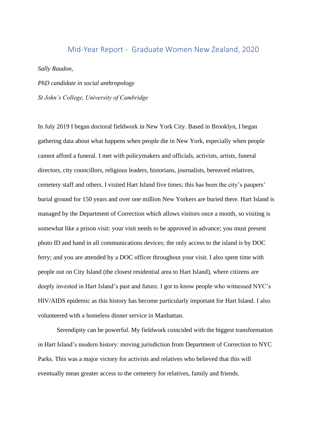## Mid-Year Report - Graduate Women New Zealand, 2020

*Sally Raudon,* 

*PhD candidate in social anthropology St John's College, University of Cambridge*

In July 2019 I began doctoral fieldwork in New York City. Based in Brooklyn, I began gathering data about what happens when people die in New York, especially when people cannot afford a funeral. I met with policymakers and officials, activists, artists, funeral directors, city councillors, religious leaders, historians, journalists, bereaved relatives, cemetery staff and others. I visited Hart Island five times; this has been the city's paupers' burial ground for 150 years and over one million New Yorkers are buried there. Hart Island is managed by the Department of Correction which allows visitors once a month, so visiting is somewhat like a prison visit: your visit needs to be approved in advance; you must present photo ID and hand in all communications devices; the only access to the island is by DOC ferry; and you are attended by a DOC officer throughout your visit. I also spent time with people out on City Island (the closest residential area to Hart Island), where citizens are deeply invested in Hart Island's past and future. I got to know people who witnessed NYC's HIV/AIDS epidemic as this history has become particularly important for Hart Island. I also volunteered with a homeless dinner service in Manhattan.

Serendipity can be powerful. My fieldwork coincided with the biggest transformation in Hart Island's modern history: moving jurisdiction from Department of Correction to NYC Parks. This was a major victory for activists and relatives who believed that this will eventually mean greater access to the cemetery for relatives, family and friends.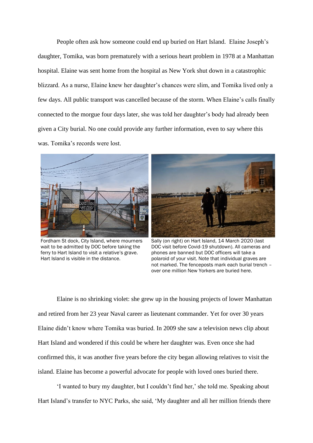People often ask how someone could end up buried on Hart Island. Elaine Joseph's daughter, Tomika, was born prematurely with a serious heart problem in 1978 at a Manhattan hospital. Elaine was sent home from the hospital as New York shut down in a catastrophic blizzard. As a nurse, Elaine knew her daughter's chances were slim, and Tomika lived only a few days. All public transport was cancelled because of the storm. When Elaine's calls finally connected to the morgue four days later, she was told her daughter's body had already been given a City burial. No one could provide any further information, even to say where this was. Tomika's records were lost.



Fordham St dock, City Island, where mourners wait to be admitted by DOC before taking the ferry to Hart Island to visit a relative's grave. Hart Island is visible in the distance.



Sally (on right) on Hart Island, 14 March 2020 (last DOC visit before Covid-19 shutdown). All cameras and phones are banned but DOC officers will take a polaroid of your visit. Note that individual graves are not marked. The fenceposts mark each burial trench – over one million New Yorkers are buried here.

Elaine is no shrinking violet: she grew up in the housing projects of lower Manhattan and retired from her 23 year Naval career as lieutenant commander. Yet for over 30 years Elaine didn't know where Tomika was buried. In 2009 she saw a television news clip about Hart Island and wondered if this could be where her daughter was. Even once she had confirmed this, it was another five years before the city began allowing relatives to visit the island. Elaine has become a powerful advocate for people with loved ones buried there.

'I wanted to bury my daughter, but I couldn't find her,' she told me. Speaking about Hart Island's transfer to NYC Parks, she said, 'My daughter and all her million friends there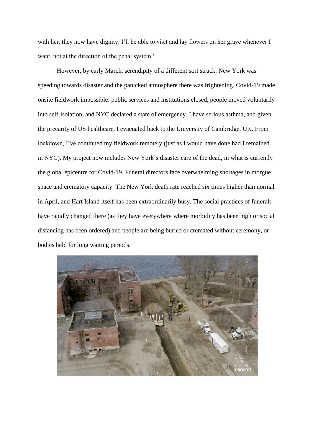with her, they now have dignity. I'll be able to visit and lay flowers on her grave whenever I want, not at the direction of the penal system.'

However, by early March, serendipity of a different sort struck. New York was speeding towards disaster and the panicked atmosphere there was frightening. Covid-19 made onsite fieldwork impossible: public services and institutions closed, people moved voluntarily into self-isolation, and NYC declared a state of emergency. I have serious asthma, and given the precarity of US healthcare, I evacuated back to the University of Cambridge, UK. From lockdown, I've continued my fieldwork remotely (just as I would have done had I remained in NYC). My project now includes New York's disaster care of the dead, in what is currently the global epicentre for Covid-19. Funeral directors face overwhelming shortages in morgue space and crematory capacity. The New York death rate reached six times higher than normal in April, and Hart Island itself has been extraordinarily busy. The social practices of funerals have rapidly changed there (as they have everywhere where morbidity has been high or social distancing has been ordered) and people are being buried or cremated without ceremony, or bodies held for long waiting periods.